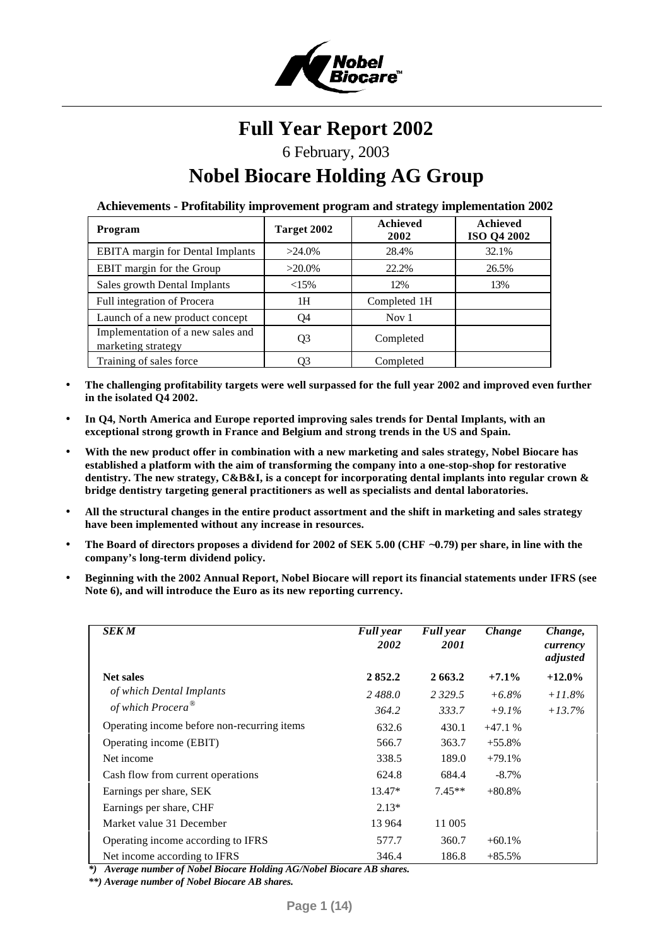

# **Full Year Report 2002**

# 6 February, 2003

# **Nobel Biocare Holding AG Group**

**Achievements - Profitability improvement program and strategy implementation 2002**

| Program                                                 | Target 2002 | <b>Achieved</b><br>2002 | <b>Achieved</b><br><b>ISO Q4 2002</b> |
|---------------------------------------------------------|-------------|-------------------------|---------------------------------------|
| <b>EBITA</b> margin for Dental Implants                 | $>24.0\%$   | 28.4%                   | 32.1%                                 |
| EBIT margin for the Group                               | $>20.0\%$   | 22.2%                   | 26.5%                                 |
| Sales growth Dental Implants                            | $<15\%$     | 12%                     | 13%                                   |
| Full integration of Procera                             | 1H          | Completed 1H            |                                       |
| Launch of a new product concept                         | O4          | Nov $1$                 |                                       |
| Implementation of a new sales and<br>marketing strategy | Q3          | Completed               |                                       |
| Training of sales force                                 | 03          | Completed               |                                       |

- **The challenging profitability targets were well surpassed for the full year 2002 and improved even further in the isolated Q4 2002.**
- **In Q4, North America and Europe reported improving sales trends for Dental Implants, with an exceptional strong growth in France and Belgium and strong trends in the US and Spain.**
- **With the new product offer in combination with a new marketing and sales strategy, Nobel Biocare has established a platform with the aim of transforming the company into a one-stop-shop for restorative dentistry. The new strategy, C&B&I, is a concept for incorporating dental implants into regular crown & bridge dentistry targeting general practitioners as well as specialists and dental laboratories.**
- **All the structural changes in the entire product assortment and the shift in marketing and sales strategy have been implemented without any increase in resources.**
- **The Board of directors proposes a dividend for 2002 of SEK 5.00 (CHF ~0.79) per share, in line with the company's long-term dividend policy.**
- **Beginning with the 2002 Annual Report, Nobel Biocare will report its financial statements under IFRS (see Note 6), and will introduce the Euro as its new reporting currency.**

| <b>SEK M</b>                                | <b>Full</b> year<br>2002 | <b>Full</b> year<br><i>2001</i> | Change    | Change,<br>currency<br>adjusted |
|---------------------------------------------|--------------------------|---------------------------------|-----------|---------------------------------|
| <b>Net sales</b>                            | 2852.2                   | 2663.2                          | $+7.1\%$  | $+12.0\%$                       |
| of which Dental Implants                    | 2488.0                   | 2 3 2 9 . 5                     | $+6.8\%$  | $+11.8\%$                       |
| of which Procera <sup>®</sup>               | 364.2                    | 333.7                           | $+9.1\%$  | $+13.7%$                        |
| Operating income before non-recurring items | 632.6                    | 430.1                           | $+47.1%$  |                                 |
| Operating income (EBIT)                     | 566.7                    | 363.7                           | $+55.8\%$ |                                 |
| Net income                                  | 338.5                    | 189.0                           | $+79.1%$  |                                 |
| Cash flow from current operations           | 624.8                    | 684.4                           | $-8.7\%$  |                                 |
| Earnings per share, SEK                     | $13.47*$                 | $7.45**$                        | $+80.8\%$ |                                 |
| Earnings per share, CHF                     | $2.13*$                  |                                 |           |                                 |
| Market value 31 December                    | 13 9 64                  | 11 005                          |           |                                 |
| Operating income according to IFRS          | 577.7                    | 360.7                           | $+60.1%$  |                                 |
| Net income according to IFRS                | 346.4                    | 186.8                           | $+85.5%$  |                                 |

*\*) Average number of Nobel Biocare Holding AG/Nobel Biocare AB shares.*

*\*\*) Average number of Nobel Biocare AB shares.*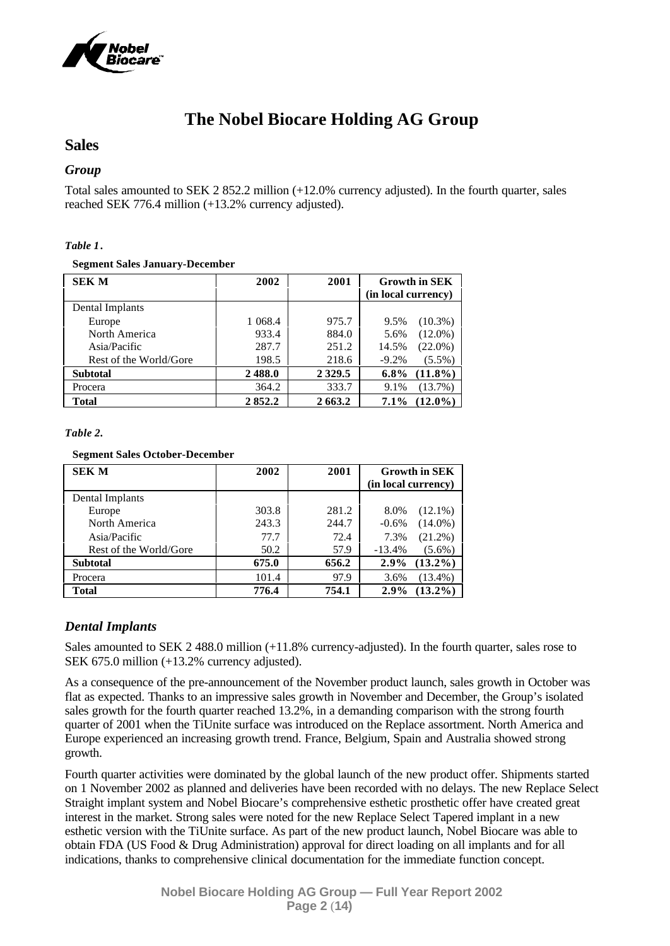

# **The Nobel Biocare Holding AG Group**

# **Sales**

# *Group*

Total sales amounted to SEK 2 852.2 million (+12.0% currency adjusted). In the fourth quarter, sales reached SEK 776.4 million (+13.2% currency adjusted).

# *Table 1***.**

## **Segment Sales January-December**

| <b>SEK M</b>           | 2002    | 2001       | <b>Growth in SEK</b><br>(in local currency) |
|------------------------|---------|------------|---------------------------------------------|
| Dental Implants        |         |            |                                             |
| Europe                 | 1 068.4 | 975.7      | $(10.3\%)$<br>9.5%                          |
| North America          | 933.4   | 884.0      | $(12.0\%)$<br>5.6%                          |
| Asia/Pacific           | 287.7   | 251.2      | $(22.0\%)$<br>14.5%                         |
| Rest of the World/Gore | 198.5   | 218.6      | $-9.2%$<br>$(5.5\%)$                        |
| <b>Subtotal</b>        | 2488.0  | 2 3 2 9 .5 | $(11.8\%)$<br>$6.8\%$                       |
| Procera                | 364.2   | 333.7      | (13.7%)<br>9.1%                             |
| Total                  | 2852.2  | 2 663.2    | $(12.0\%)$<br>$7.1\%$                       |

## *Table 2.*

## **Segment Sales October-December**

| <b>SEK M</b>           | 2002  | 2001  | <b>Growth in SEK</b>  |
|------------------------|-------|-------|-----------------------|
|                        |       |       | (in local currency)   |
| Dental Implants        |       |       |                       |
| Europe                 | 303.8 | 281.2 | $(12.1\%)$<br>8.0%    |
| North America          | 243.3 | 244.7 | $(14.0\%)$<br>$-0.6%$ |
| Asia/Pacific           | 77.7  | 72.4  | $(21.2\%)$<br>7.3%    |
| Rest of the World/Gore | 50.2  | 57.9  | $-13.4%$<br>$(5.6\%)$ |
| <b>Subtotal</b>        | 675.0 | 656.2 | $(13.2\%)$<br>$2.9\%$ |
| Procera                | 101.4 | 97.9  | $(13.4\%)$<br>3.6%    |
| <b>Total</b>           | 776.4 | 754.1 | $(13.2\%)$<br>$2.9\%$ |

# *Dental Implants*

Sales amounted to SEK 2 488.0 million (+11.8% currency-adjusted). In the fourth quarter, sales rose to SEK 675.0 million (+13.2% currency adjusted).

As a consequence of the pre-announcement of the November product launch, sales growth in October was flat as expected. Thanks to an impressive sales growth in November and December, the Group's isolated sales growth for the fourth quarter reached 13.2%, in a demanding comparison with the strong fourth quarter of 2001 when the TiUnite surface was introduced on the Replace assortment. North America and Europe experienced an increasing growth trend. France, Belgium, Spain and Australia showed strong growth.

Fourth quarter activities were dominated by the global launch of the new product offer. Shipments started on 1 November 2002 as planned and deliveries have been recorded with no delays. The new Replace Select Straight implant system and Nobel Biocare's comprehensive esthetic prosthetic offer have created great interest in the market. Strong sales were noted for the new Replace Select Tapered implant in a new esthetic version with the TiUnite surface. As part of the new product launch, Nobel Biocare was able to obtain FDA (US Food & Drug Administration) approval for direct loading on all implants and for all indications, thanks to comprehensive clinical documentation for the immediate function concept.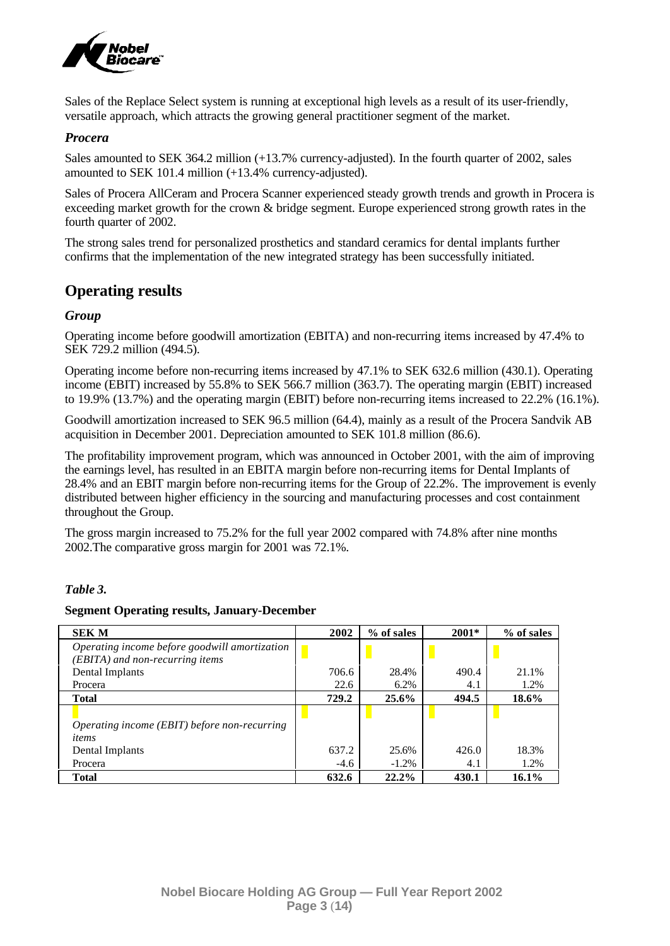

Sales of the Replace Select system is running at exceptional high levels as a result of its user-friendly, versatile approach, which attracts the growing general practitioner segment of the market.

# *Procera*

Sales amounted to SEK 364.2 million (+13.7% currency-adjusted). In the fourth quarter of 2002, sales amounted to SEK 101.4 million (+13.4% currency-adjusted).

Sales of Procera AllCeram and Procera Scanner experienced steady growth trends and growth in Procera is exceeding market growth for the crown & bridge segment. Europe experienced strong growth rates in the fourth quarter of 2002.

The strong sales trend for personalized prosthetics and standard ceramics for dental implants further confirms that the implementation of the new integrated strategy has been successfully initiated.

# **Operating results**

# *Group*

Operating income before goodwill amortization (EBITA) and non-recurring items increased by 47.4% to SEK 729.2 million (494.5).

Operating income before non-recurring items increased by 47.1% to SEK 632.6 million (430.1). Operating income (EBIT) increased by 55.8% to SEK 566.7 million (363.7). The operating margin (EBIT) increased to 19.9% (13.7%) and the operating margin (EBIT) before non-recurring items increased to 22.2% (16.1%).

Goodwill amortization increased to SEK 96.5 million (64.4), mainly as a result of the Procera Sandvik AB acquisition in December 2001. Depreciation amounted to SEK 101.8 million (86.6).

The profitability improvement program, which was announced in October 2001, with the aim of improving the earnings level, has resulted in an EBITA margin before non-recurring items for Dental Implants of 28.4% and an EBIT margin before non-recurring items for the Group of 22.2%. The improvement is evenly distributed between higher efficiency in the sourcing and manufacturing processes and cost containment throughout the Group.

The gross margin increased to 75.2% for the full year 2002 compared with 74.8% after nine months 2002.The comparative gross margin for 2001 was 72.1%.

## *Table 3.*

## **Segment Operating results, January-December**

| <b>SEK M</b>                                  | 2002   | % of sales | 2001* | % of sales |
|-----------------------------------------------|--------|------------|-------|------------|
| Operating income before goodwill amortization |        |            |       |            |
| (EBITA) and non-recurring items               |        |            |       |            |
| Dental Implants                               | 706.6  | 28.4%      | 490.4 | 21.1%      |
| Procera                                       | 22.6   | 6.2%       | 4.1   | 1.2%       |
| <b>Total</b>                                  | 729.2  | 25.6%      | 494.5 | 18.6%      |
|                                               |        |            |       |            |
| Operating income (EBIT) before non-recurring  |        |            |       |            |
| items                                         |        |            |       |            |
| Dental Implants                               | 637.2  | 25.6%      | 426.0 | 18.3%      |
| Procera                                       | $-4.6$ | $-1.2\%$   | 4.1   | 1.2%       |
| <b>Total</b>                                  | 632.6  | 22.2%      | 430.1 | 16.1%      |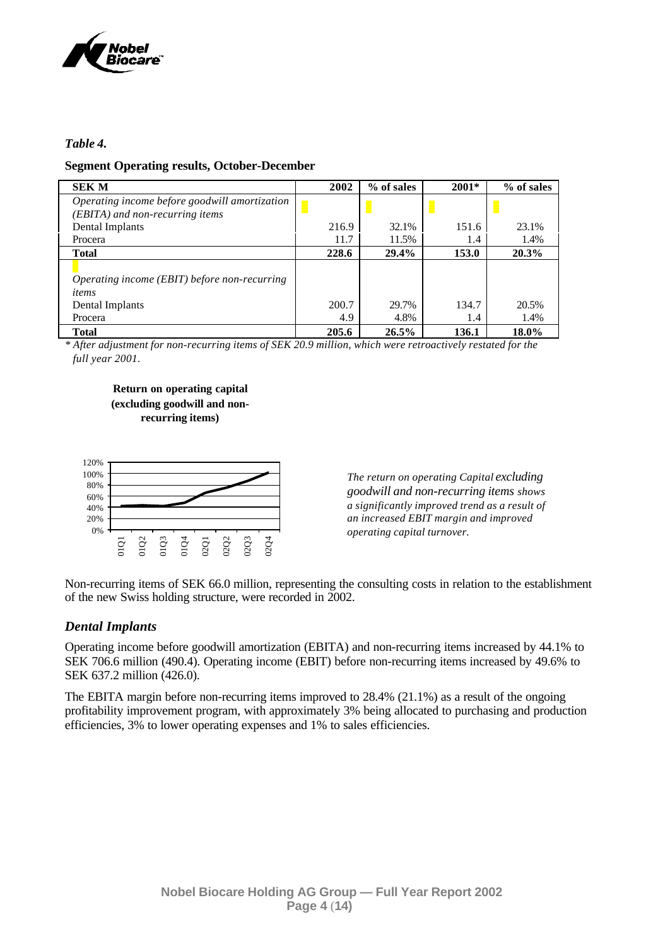

# *Table 4.*

# **Segment Operating results, October-December**

| <b>SEK M</b>                                  | 2002  | % of sales | $2001*$ | % of sales |
|-----------------------------------------------|-------|------------|---------|------------|
| Operating income before goodwill amortization |       |            |         |            |
| (EBITA) and non-recurring items               |       |            |         |            |
| Dental Implants                               | 216.9 | 32.1%      | 151.6   | 23.1%      |
| Procera                                       | 11.7  | 11.5%      | 1.4     | 1.4%       |
| <b>Total</b>                                  | 228.6 | 29.4%      | 153.0   | 20.3%      |
|                                               |       |            |         |            |
| Operating income (EBIT) before non-recurring  |       |            |         |            |
| items                                         |       |            |         |            |
| Dental Implants                               | 200.7 | 29.7%      | 134.7   | 20.5%      |
| Procera                                       | 4.9   | 4.8%       | 1.4     | 1.4%       |
| Total                                         | 205.6 | 26.5%      | 136.1   | 18.0%      |

*\* After adjustment for non-recurring items of SEK 20.9 million, which were retroactively restated for the full year 2001.*

**Return on operating capital (excluding goodwill and nonrecurring items)**



*The return on operating Capital excluding goodwill and non-recurring items shows a significantly improved trend as a result of an increased EBIT margin and improved operating capital turnover.*

Non-recurring items of SEK 66.0 million, representing the consulting costs in relation to the establishment of the new Swiss holding structure, were recorded in 2002.

# *Dental Implants*

Operating income before goodwill amortization (EBITA) and non-recurring items increased by 44.1% to SEK 706.6 million (490.4). Operating income (EBIT) before non-recurring items increased by 49.6% to SEK 637.2 million (426.0).

The EBITA margin before non-recurring items improved to 28.4% (21.1%) as a result of the ongoing profitability improvement program, with approximately 3% being allocated to purchasing and production efficiencies, 3% to lower operating expenses and 1% to sales efficiencies.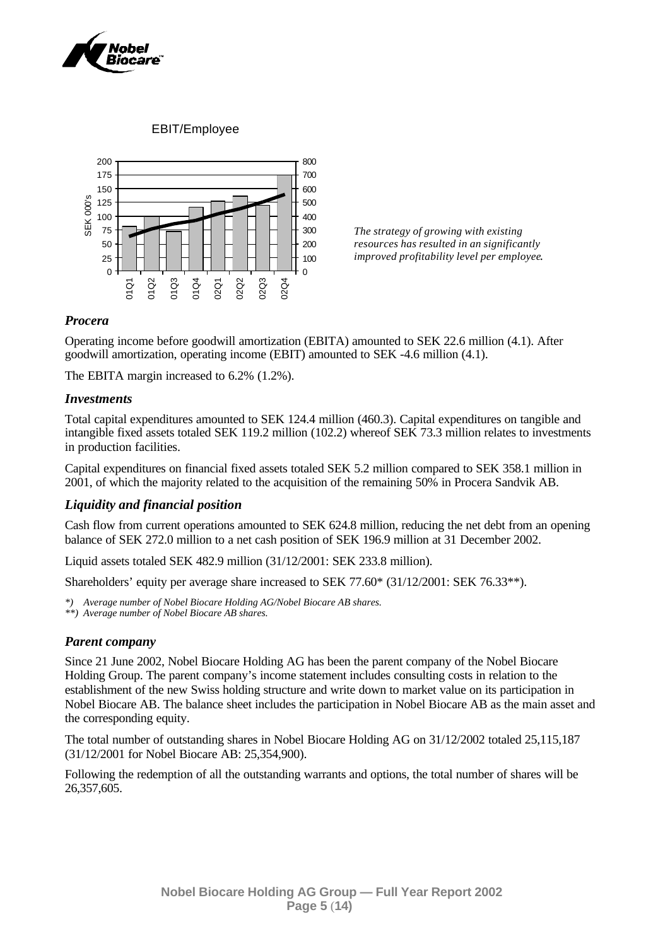

EBIT/Employee



*The strategy of growing with existing resources has resulted in an significantly improved profitability level per employee.*

# *Procera*

Operating income before goodwill amortization (EBITA) amounted to SEK 22.6 million (4.1). After goodwill amortization, operating income (EBIT) amounted to SEK -4.6 million (4.1).

The EBITA margin increased to 6.2% (1.2%).

# *Investments*

Total capital expenditures amounted to SEK 124.4 million (460.3). Capital expenditures on tangible and intangible fixed assets totaled SEK 119.2 million (102.2) whereof SEK 73.3 million relates to investments in production facilities.

Capital expenditures on financial fixed assets totaled SEK 5.2 million compared to SEK 358.1 million in 2001, of which the majority related to the acquisition of the remaining 50% in Procera Sandvik AB.

# *Liquidity and financial position*

Cash flow from current operations amounted to SEK 624.8 million, reducing the net debt from an opening balance of SEK 272.0 million to a net cash position of SEK 196.9 million at 31 December 2002.

Liquid assets totaled SEK 482.9 million (31/12/2001: SEK 233.8 million).

Shareholders' equity per average share increased to SEK 77.60\* (31/12/2001: SEK 76.33\*\*).

*\*) Average number of Nobel Biocare Holding AG/Nobel Biocare AB shares.*

*\*\*) Average number of Nobel Biocare AB shares.*

# *Parent company*

Since 21 June 2002, Nobel Biocare Holding AG has been the parent company of the Nobel Biocare Holding Group. The parent company's income statement includes consulting costs in relation to the establishment of the new Swiss holding structure and write down to market value on its participation in Nobel Biocare AB. The balance sheet includes the participation in Nobel Biocare AB as the main asset and the corresponding equity.

The total number of outstanding shares in Nobel Biocare Holding AG on 31/12/2002 totaled 25,115,187 (31/12/2001 for Nobel Biocare AB: 25,354,900).

Following the redemption of all the outstanding warrants and options, the total number of shares will be 26,357,605.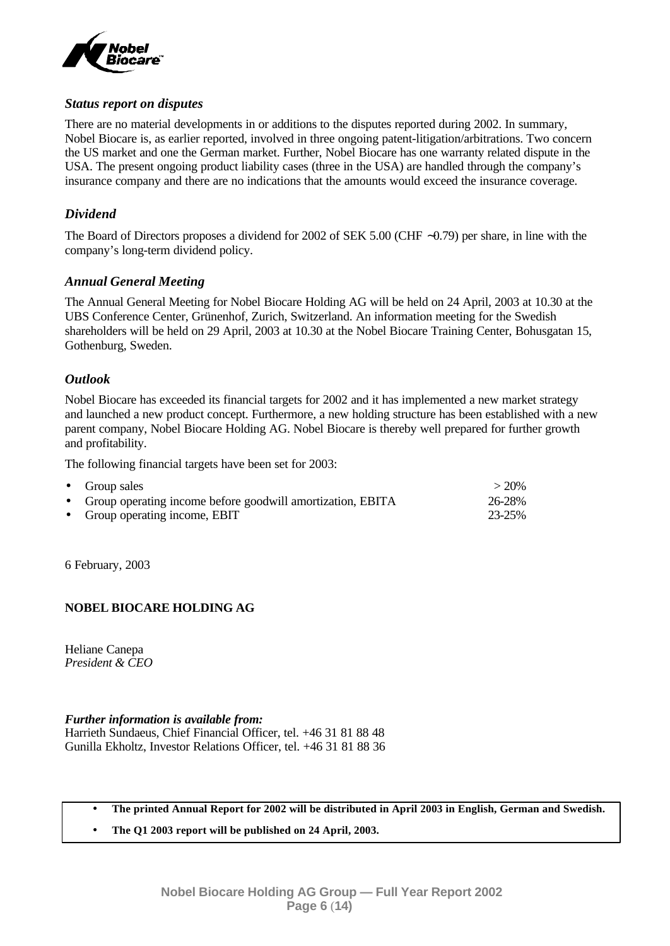

# *Status report on disputes*

There are no material developments in or additions to the disputes reported during 2002. In summary, Nobel Biocare is, as earlier reported, involved in three ongoing patent-litigation/arbitrations. Two concern the US market and one the German market. Further, Nobel Biocare has one warranty related dispute in the USA. The present ongoing product liability cases (three in the USA) are handled through the company's insurance company and there are no indications that the amounts would exceed the insurance coverage.

# *Dividend*

The Board of Directors proposes a dividend for 2002 of SEK 5.00 (CHF ∼0.79) per share, in line with the company's long-term dividend policy.

# *Annual General Meeting*

The Annual General Meeting for Nobel Biocare Holding AG will be held on 24 April, 2003 at 10.30 at the UBS Conference Center, Grünenhof, Zurich, Switzerland. An information meeting for the Swedish shareholders will be held on 29 April, 2003 at 10.30 at the Nobel Biocare Training Center, Bohusgatan 15, Gothenburg, Sweden.

# *Outlook*

Nobel Biocare has exceeded its financial targets for 2002 and it has implemented a new market strategy and launched a new product concept. Furthermore, a new holding structure has been established with a new parent company, Nobel Biocare Holding AG. Nobel Biocare is thereby well prepared for further growth and profitability.

The following financial targets have been set for 2003:

| • Group sales                                                | $>20\%$ |
|--------------------------------------------------------------|---------|
| • Group operating income before goodwill amortization, EBITA | 26-28%  |
| • Group operating income, EBIT                               | 23-25%  |

6 February, 2003

# **NOBEL BIOCARE HOLDING AG**

Heliane Canepa *President & CEO*

# *Further information is available from:*

Harrieth Sundaeus, Chief Financial Officer, tel. +46 31 81 88 48 Gunilla Ekholtz, Investor Relations Officer, tel. +46 31 81 88 36

- **The printed Annual Report for 2002 will be distributed in April 2003 in English, German and Swedish.**
- **The Q1 2003 report will be published on 24 April, 2003.**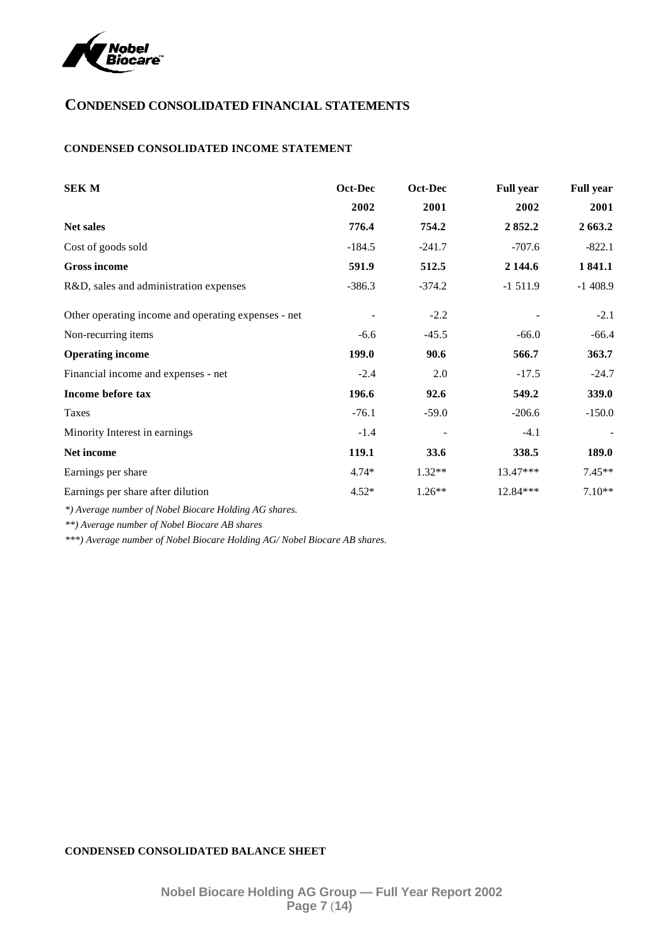

# **CONDENSED CONSOLIDATED FINANCIAL STATEMENTS**

# **CONDENSED CONSOLIDATED INCOME STATEMENT**

| <b>SEK M</b>                                        | Oct-Dec  | Oct-Dec  | <b>Full year</b> | <b>Full year</b> |
|-----------------------------------------------------|----------|----------|------------------|------------------|
|                                                     | 2002     | 2001     | 2002             | 2001             |
| <b>Net sales</b>                                    | 776.4    | 754.2    | 2852.2           | 2 663.2          |
| Cost of goods sold                                  | $-184.5$ | $-241.7$ | $-707.6$         | $-822.1$         |
| <b>Gross income</b>                                 | 591.9    | 512.5    | 2 144.6          | 1841.1           |
| R&D, sales and administration expenses              | $-386.3$ | $-374.2$ | $-1511.9$        | $-1408.9$        |
| Other operating income and operating expenses - net |          | $-2.2$   |                  | $-2.1$           |
| Non-recurring items                                 | $-6.6$   | $-45.5$  | $-66.0$          | $-66.4$          |
| <b>Operating income</b>                             | 199.0    | 90.6     | 566.7            | 363.7            |
| Financial income and expenses - net                 | $-2.4$   | 2.0      | $-17.5$          | $-24.7$          |
| Income before tax                                   | 196.6    | 92.6     | 549.2            | 339.0            |
| Taxes                                               | $-76.1$  | $-59.0$  | $-206.6$         | $-150.0$         |
| Minority Interest in earnings                       | $-1.4$   |          | $-4.1$           |                  |
| Net income                                          | 119.1    | 33.6     | 338.5            | 189.0            |
| Earnings per share                                  | $4.74*$  | $1.32**$ | 13.47***         | $7.45**$         |
| Earnings per share after dilution                   | $4.52*$  | $1.26**$ | 12.84***         | $7.10**$         |

*\*) Average number of Nobel Biocare Holding AG shares.*

*\*\*) Average number of Nobel Biocare AB shares*

*\*\*\*) Average number of Nobel Biocare Holding AG/ Nobel Biocare AB shares.*

## **CONDENSED CONSOLIDATED BALANCE SHEET**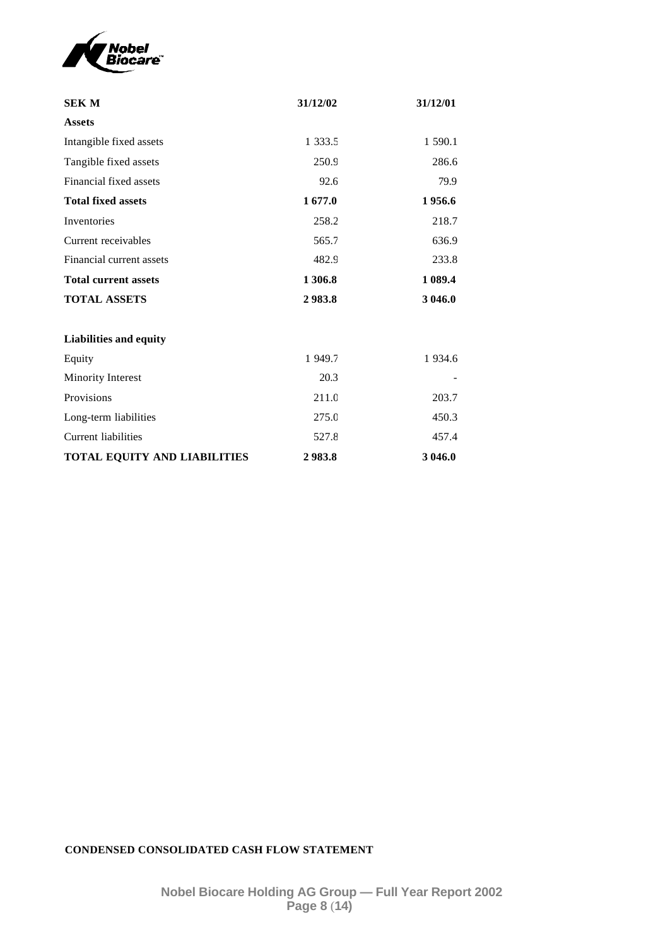

| <b>SEK M</b>                  | 31/12/02   | 31/12/01    |
|-------------------------------|------------|-------------|
| <b>Assets</b>                 |            |             |
| Intangible fixed assets       | 1 3 3 3 .5 | 1 590.1     |
| Tangible fixed assets         | 250.9      | 286.6       |
| Financial fixed assets        | 92.6       | 79.9        |
| <b>Total fixed assets</b>     | 1677.0     | 1956.6      |
| Inventories                   | 258.2      | 218.7       |
| Current receivables           | 565.7      | 636.9       |
| Financial current assets      | 482.9      | 233.8       |
| <b>Total current assets</b>   | 1 306.8    | 1 0 8 9.4   |
| <b>TOTAL ASSETS</b>           | 2983.8     | 3 046.0     |
|                               |            |             |
| <b>Liabilities and equity</b> |            |             |
| Equity                        | 1 949.7    | 1 9 3 4 . 6 |
| Minority Interest             | 20.3       |             |
| Provisions                    | 211.0      | 203.7       |
| Long-term liabilities         | 275.0      | 450.3       |
| <b>Current liabilities</b>    | 527.8      | 457.4       |
| TOTAL EQUITY AND LIABILITIES  | 2983.8     | 3 046.0     |

# **CONDENSED CONSOLIDATED CASH FLOW STATEMENT**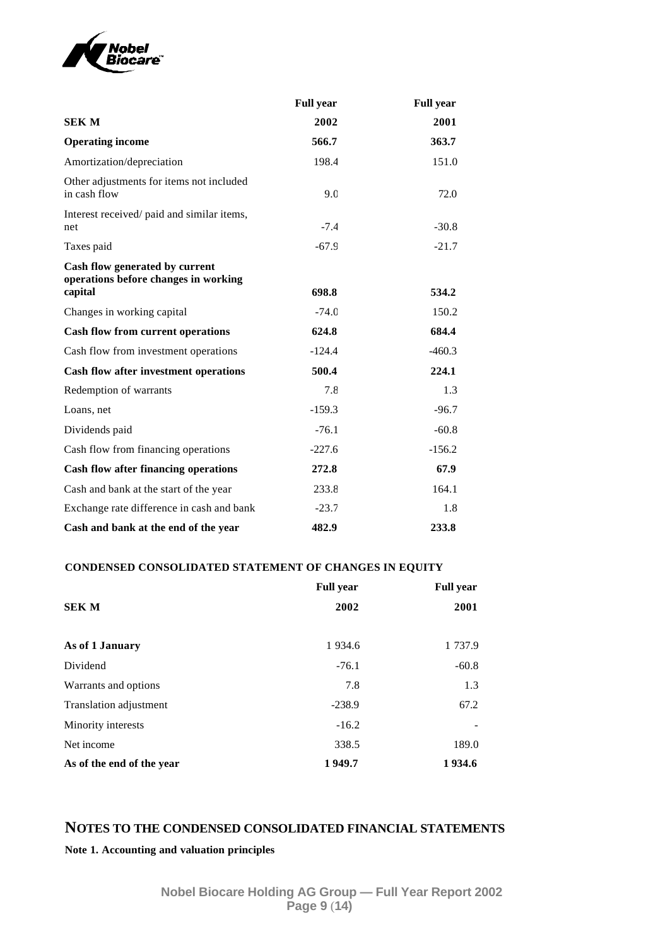

|                                                                                   | <b>Full year</b> | <b>Full year</b> |
|-----------------------------------------------------------------------------------|------------------|------------------|
| <b>SEK M</b>                                                                      | 2002             | 2001             |
| <b>Operating income</b>                                                           | 566.7            | 363.7            |
| Amortization/depreciation                                                         | 198.4            | 151.0            |
| Other adjustments for items not included<br>in cash flow                          | 9.0              | 72.0             |
| Interest received/ paid and similar items,<br>net                                 | $-7.4$           | $-30.8$          |
| Taxes paid                                                                        | $-67.9$          | $-21.7$          |
| Cash flow generated by current<br>operations before changes in working<br>capital | 698.8            | 534.2            |
| Changes in working capital                                                        | $-74.0$          | 150.2            |
| <b>Cash flow from current operations</b>                                          | 624.8            | 684.4            |
| Cash flow from investment operations                                              | $-124.4$         | $-460.3$         |
| Cash flow after investment operations                                             | 500.4            | 224.1            |
| Redemption of warrants                                                            | 7.8              | 1.3              |
| Loans, net                                                                        | $-159.3$         | $-96.7$          |
| Dividends paid                                                                    | $-76.1$          | $-60.8$          |
| Cash flow from financing operations                                               | $-227.6$         | $-156.2$         |
| Cash flow after financing operations                                              | 272.8            | 67.9             |
| Cash and bank at the start of the year                                            | 233.8            | 164.1            |
| Exchange rate difference in cash and bank                                         | $-23.7$          | 1.8              |
| Cash and bank at the end of the year                                              | 482.9            | 233.8            |

# **CONDENSED CONSOLIDATED STATEMENT OF CHANGES IN EQUITY**

|                           | <b>Full year</b> | <b>Full year</b> |
|---------------------------|------------------|------------------|
| <b>SEK M</b>              | 2002             | 2001             |
| As of 1 January           | 1 9 3 4 . 6      | 1 737.9          |
| Dividend                  | $-76.1$          | $-60.8$          |
| Warrants and options      | 7.8              | 1.3              |
| Translation adjustment    | $-238.9$         | 67.2             |
| Minority interests        | $-16.2$          |                  |
| Net income                | 338.5            | 189.0            |
| As of the end of the year | 1949.7           | 1934.6           |

# **NOTES TO THE CONDENSED CONSOLIDATED FINANCIAL STATEMENTS**

**Note 1. Accounting and valuation principles**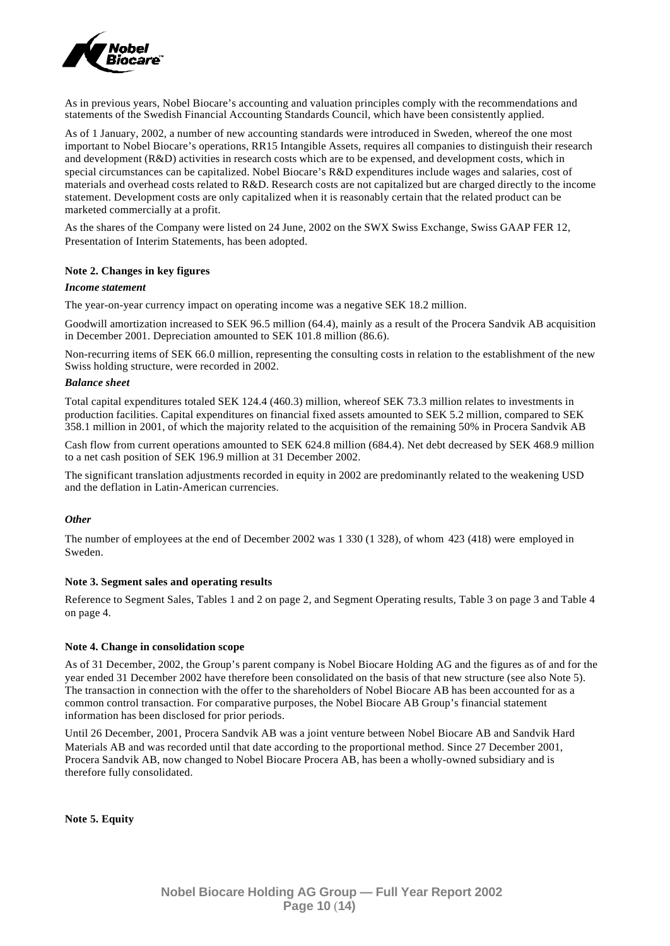

As in previous years, Nobel Biocare's accounting and valuation principles comply with the recommendations and statements of the Swedish Financial Accounting Standards Council, which have been consistently applied.

As of 1 January, 2002, a number of new accounting standards were introduced in Sweden, whereof the one most important to Nobel Biocare's operations, RR15 Intangible Assets, requires all companies to distinguish their research and development (R&D) activities in research costs which are to be expensed, and development costs, which in special circumstances can be capitalized. Nobel Biocare's R&D expenditures include wages and salaries, cost of materials and overhead costs related to R&D. Research costs are not capitalized but are charged directly to the income statement. Development costs are only capitalized when it is reasonably certain that the related product can be marketed commercially at a profit.

As the shares of the Company were listed on 24 June, 2002 on the SWX Swiss Exchange, Swiss GAAP FER 12, Presentation of Interim Statements, has been adopted.

#### **Note 2. Changes in key figures**

### *Income statement*

The year-on-year currency impact on operating income was a negative SEK 18.2 million.

Goodwill amortization increased to SEK 96.5 million (64.4), mainly as a result of the Procera Sandvik AB acquisition in December 2001. Depreciation amounted to SEK 101.8 million (86.6).

Non-recurring items of SEK 66.0 million, representing the consulting costs in relation to the establishment of the new Swiss holding structure, were recorded in 2002.

### *Balance sheet*

Total capital expenditures totaled SEK 124.4 (460.3) million, whereof SEK 73.3 million relates to investments in production facilities. Capital expenditures on financial fixed assets amounted to SEK 5.2 million, compared to SEK 358.1 million in 2001, of which the majority related to the acquisition of the remaining 50% in Procera Sandvik AB

Cash flow from current operations amounted to SEK 624.8 million (684.4). Net debt decreased by SEK 468.9 million to a net cash position of SEK 196.9 million at 31 December 2002.

The significant translation adjustments recorded in equity in 2002 are predominantly related to the weakening USD and the deflation in Latin-American currencies.

#### *Other*

The number of employees at the end of December 2002 was 1 330 (1 328), of whom 423 (418) were employed in Sweden.

#### **Note 3. Segment sales and operating results**

Reference to Segment Sales, Tables 1 and 2 on page 2, and Segment Operating results, Table 3 on page 3 and Table 4 on page 4.

#### **Note 4. Change in consolidation scope**

As of 31 December, 2002, the Group's parent company is Nobel Biocare Holding AG and the figures as of and for the year ended 31 December 2002 have therefore been consolidated on the basis of that new structure (see also Note 5). The transaction in connection with the offer to the shareholders of Nobel Biocare AB has been accounted for as a common control transaction. For comparative purposes, the Nobel Biocare AB Group's financial statement information has been disclosed for prior periods.

Until 26 December, 2001, Procera Sandvik AB was a joint venture between Nobel Biocare AB and Sandvik Hard Materials AB and was recorded until that date according to the proportional method. Since 27 December 2001, Procera Sandvik AB, now changed to Nobel Biocare Procera AB, has been a wholly-owned subsidiary and is therefore fully consolidated.

**Note 5. Equity**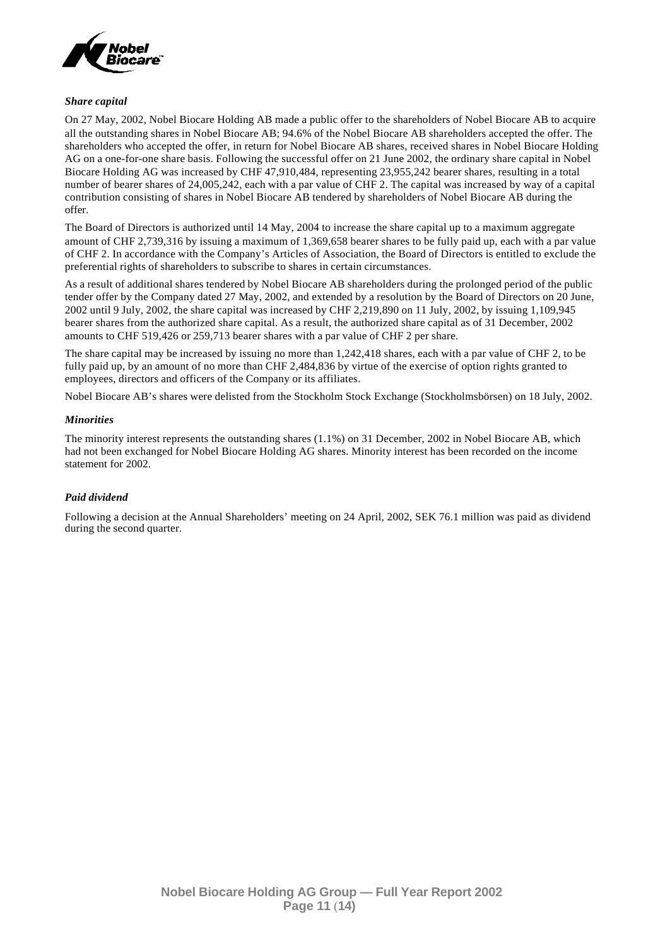

## *Share capital*

On 27 May, 2002, Nobel Biocare Holding AB made a public offer to the shareholders of Nobel Biocare AB to acquire all the outstanding shares in Nobel Biocare AB; 94.6% of the Nobel Biocare AB shareholders accepted the offer. The shareholders who accepted the offer, in return for Nobel Biocare AB shares, received shares in Nobel Biocare Holding AG on a one-for-one share basis. Following the successful offer on 21 June 2002, the ordinary share capital in Nobel Biocare Holding AG was increased by CHF 47,910,484, representing 23,955,242 bearer shares, resulting in a total number of bearer shares of 24,005,242, each with a par value of CHF 2. The capital was increased by way of a capital contribution consisting of shares in Nobel Biocare AB tendered by shareholders of Nobel Biocare AB during the offer.

The Board of Directors is authorized until 14 May, 2004 to increase the share capital up to a maximum aggregate amount of CHF 2,739,316 by issuing a maximum of 1,369,658 bearer shares to be fully paid up, each with a par value of CHF 2. In accordance with the Company's Articles of Association, the Board of Directors is entitled to exclude the preferential rights of shareholders to subscribe to shares in certain circumstances.

As a result of additional shares tendered by Nobel Biocare AB shareholders during the prolonged period of the public tender offer by the Company dated 27 May, 2002, and extended by a resolution by the Board of Directors on 20 June, 2002 until 9 July, 2002, the share capital was increased by CHF 2,219,890 on 11 July, 2002, by issuing 1,109,945 bearer shares from the authorized share capital. As a result, the authorized share capital as of 31 December, 2002 amounts to CHF 519,426 or 259,713 bearer shares with a par value of CHF 2 per share.

The share capital may be increased by issuing no more than 1,242,418 shares, each with a par value of CHF 2, to be fully paid up, by an amount of no more than CHF 2,484,836 by virtue of the exercise of option rights granted to employees, directors and officers of the Company or its affiliates.

Nobel Biocare AB's shares were delisted from the Stockholm Stock Exchange (Stockholmsbörsen) on 18 July, 2002.

## *Minorities*

The minority interest represents the outstanding shares (1.1%) on 31 December, 2002 in Nobel Biocare AB, which had not been exchanged for Nobel Biocare Holding AG shares. Minority interest has been recorded on the income statement for 2002.

## *Paid dividend*

Following a decision at the Annual Shareholders' meeting on 24 April, 2002, SEK 76.1 million was paid as dividend during the second quarter.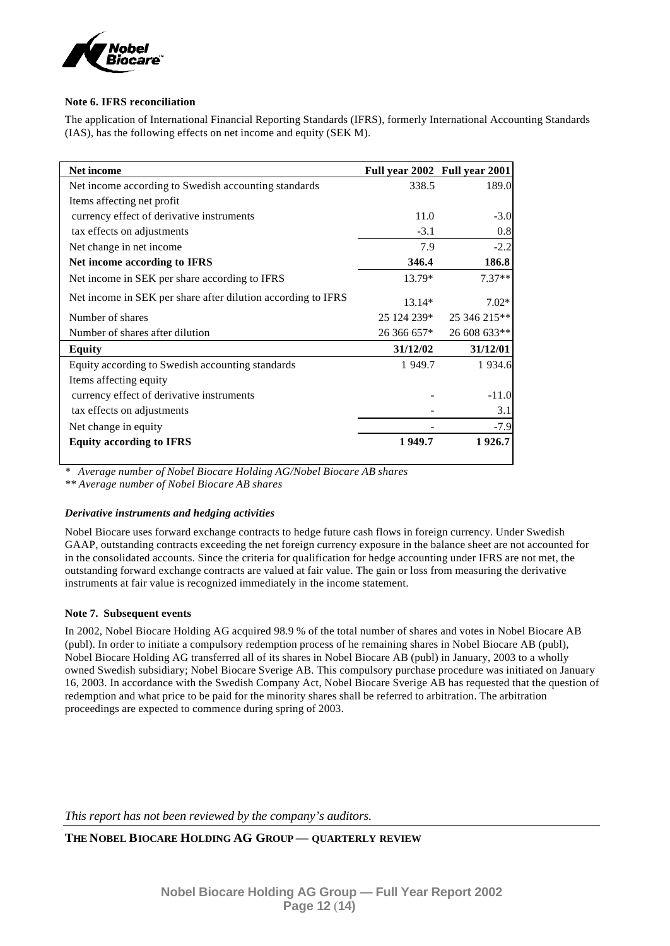

## **Note 6. IFRS reconciliation**

The application of International Financial Reporting Standards (IFRS), formerly International Accounting Standards (IAS), has the following effects on net income and equity (SEK M).

| <b>Net income</b>                                            |             | Full year 2002 Full year 2001 |
|--------------------------------------------------------------|-------------|-------------------------------|
| Net income according to Swedish accounting standards         | 338.5       | 189.0                         |
| Items affecting net profit                                   |             |                               |
| currency effect of derivative instruments                    | 11.0        | $-3.0$                        |
| tax effects on adjustments                                   | $-3.1$      | 0.8                           |
| Net change in net income                                     | 7.9         | $-2.2$                        |
| Net income according to IFRS                                 | 346.4       | 186.8                         |
| Net income in SEK per share according to IFRS                | 13.79*      | $7.37**$                      |
| Net income in SEK per share after dilution according to IFRS | $13.14*$    | $7.02*$                       |
| Number of shares                                             | 25 124 239* | 25 346 215**                  |
| Number of shares after dilution                              | 26 366 657* | 26 608 633**                  |
| Equity                                                       | 31/12/02    | 31/12/01                      |
| Equity according to Swedish accounting standards             | 1 949.7     | 1 9 3 4 . 6                   |
| Items affecting equity                                       |             |                               |
| currency effect of derivative instruments                    |             | $-11.0$                       |
| tax effects on adjustments                                   |             | 3.1                           |
| Net change in equity                                         |             | $-7.9$                        |
| <b>Equity according to IFRS</b>                              | 1949.7      | 1926.7                        |

*\* Average number of Nobel Biocare Holding AG/Nobel Biocare AB shares*

*\*\* Average number of Nobel Biocare AB shares*

## *Derivative instruments and hedging activities*

Nobel Biocare uses forward exchange contracts to hedge future cash flows in foreign currency. Under Swedish GAAP, outstanding contracts exceeding the net foreign currency exposure in the balance sheet are not accounted for in the consolidated accounts. Since the criteria for qualification for hedge accounting under IFRS are not met, the outstanding forward exchange contracts are valued at fair value. The gain or loss from measuring the derivative instruments at fair value is recognized immediately in the income statement.

## **Note 7. Subsequent events**

In 2002, Nobel Biocare Holding AG acquired 98.9 % of the total number of shares and votes in Nobel Biocare AB (publ). In order to initiate a compulsory redemption process of he remaining shares in Nobel Biocare AB (publ), Nobel Biocare Holding AG transferred all of its shares in Nobel Biocare AB (publ) in January, 2003 to a wholly owned Swedish subsidiary; Nobel Biocare Sverige AB. This compulsory purchase procedure was initiated on January 16, 2003. In accordance with the Swedish Company Act, Nobel Biocare Sverige AB has requested that the question of redemption and what price to be paid for the minority shares shall be referred to arbitration. The arbitration proceedings are expected to commence during spring of 2003.

*This report has not been reviewed by the company's auditors.*

**THE NOBEL BIOCARE HOLDING AG GROUP — QUARTERLY REVIEW**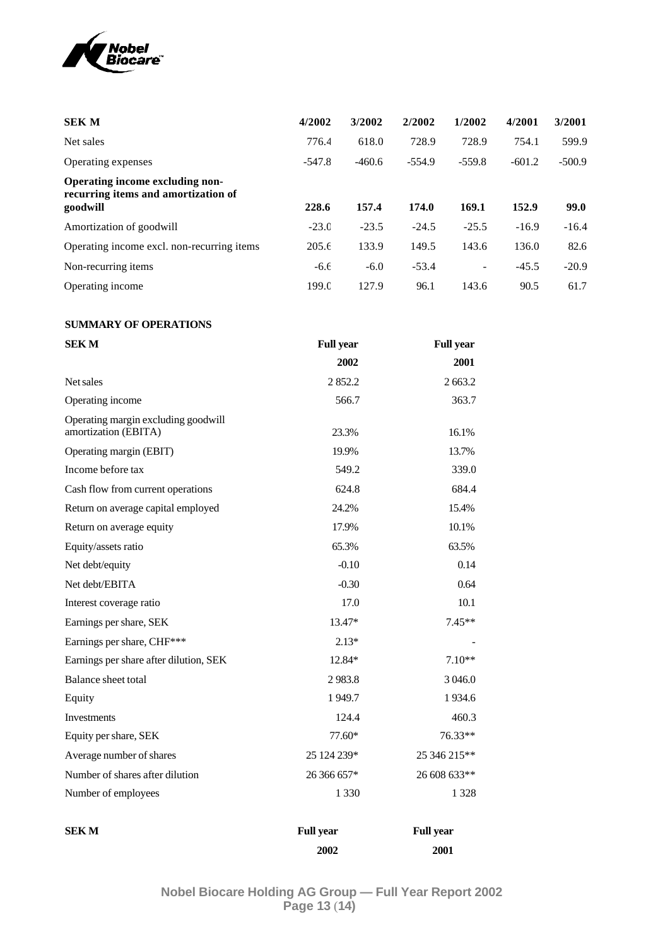

| <b>SEK M</b>                                                                       | 4/2002   | 3/2002   | 2/2002   | 1/2002   | 4/2001   | 3/2001   |
|------------------------------------------------------------------------------------|----------|----------|----------|----------|----------|----------|
| Net sales                                                                          | 776.4    | 618.0    | 728.9    | 728.9    | 754.1    | 599.9    |
| Operating expenses                                                                 | $-547.8$ | $-460.6$ | $-554.9$ | $-559.8$ | $-601.2$ | $-500.9$ |
| Operating income excluding non-<br>recurring items and amortization of<br>goodwill | 228.6    | 157.4    | 174.0    | 169.1    | 152.9    | 99.0     |
| Amortization of goodwill                                                           | $-23.0$  | $-23.5$  | $-24.5$  | $-25.5$  | $-16.9$  | $-16.4$  |
| Operating income excl. non-recurring items                                         | 205.6    | 133.9    | 149.5    | 143.6    | 136.0    | 82.6     |
| Non-recurring items                                                                | $-6.6$   | $-6.0$   | $-53.4$  |          | $-45.5$  | $-20.9$  |
| Operating income                                                                   | 199.0    | 127.9    | 96.1     | 143.6    | 90.5     | 61.7     |

## **SUMMARY OF OPERATIONS**

| <b>SEKM</b>                                                 | <b>Full year</b> |                  |
|-------------------------------------------------------------|------------------|------------------|
|                                                             | 2002             | 2001             |
| Net sales                                                   | 2852.2           | 2663.2           |
| Operating income                                            | 566.7            | 363.7            |
| Operating margin excluding goodwill<br>amortization (EBITA) | 23.3%            | 16.1%            |
| Operating margin (EBIT)                                     | 19.9%            | 13.7%            |
| Income before tax                                           | 549.2            | 339.0            |
| Cash flow from current operations                           | 624.8            | 684.4            |
| Return on average capital employed                          | 24.2%            | 15.4%            |
| Return on average equity                                    | 17.9%            | 10.1%            |
| Equity/assets ratio                                         | 65.3%            | 63.5%            |
| Net debt/equity                                             | $-0.10$          | 0.14             |
| Net debt/EBITA                                              | $-0.30$          | 0.64             |
| Interest coverage ratio                                     | 17.0             | 10.1             |
| Earnings per share, SEK                                     | 13.47*           | $7.45**$         |
| Earnings per share, CHF***                                  | $2.13*$          |                  |
| Earnings per share after dilution, SEK                      | 12.84*           | $7.10**$         |
| <b>Balance sheet total</b>                                  | 2983.8           | 3 046.0          |
| Equity                                                      | 1949.7           | 1934.6           |
| Investments                                                 | 124.4            | 460.3            |
| Equity per share, SEK                                       | $77.60*$         | $76.33**$        |
| Average number of shares                                    | 25 124 239*      | 25 346 215**     |
| Number of shares after dilution                             | 26 366 657*      | 26 608 633**     |
| Number of employees                                         | 1 3 3 0          | 1 3 2 8          |
| <b>SEK M</b>                                                | <b>Full year</b> | <b>Full year</b> |
|                                                             | 2002             | 2001             |